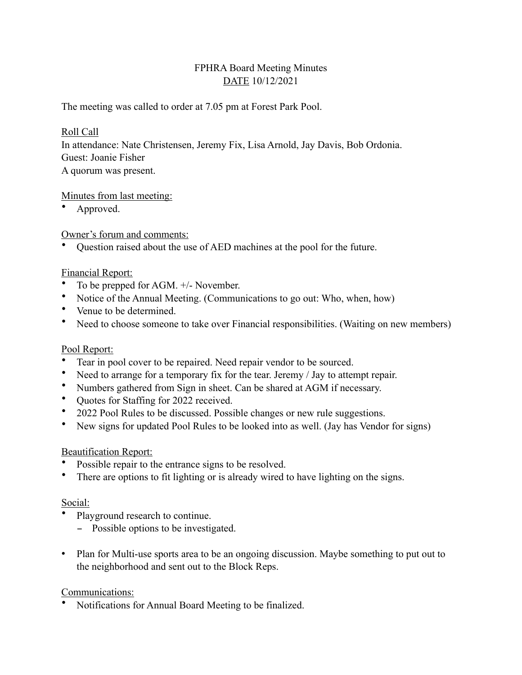# FPHRA Board Meeting Minutes DATE 10/12/2021

The meeting was called to order at 7.05 pm at Forest Park Pool.

## Roll Call

In attendance: Nate Christensen, Jeremy Fix, Lisa Arnold, Jay Davis, Bob Ordonia. Guest: Joanie Fisher A quorum was present.

## Minutes from last meeting:

• Approved.

Owner's forum and comments:

• Question raised about the use of AED machines at the pool for the future.

## Financial Report:

- To be prepped for AGM.  $+/-$  November.
- Notice of the Annual Meeting. (Communications to go out: Who, when, how)
- Venue to be determined.
- Need to choose someone to take over Financial responsibilities. (Waiting on new members)

#### Pool Report:

- Tear in pool cover to be repaired. Need repair vendor to be sourced.
- Need to arrange for a temporary fix for the tear. Jeremy / Jay to attempt repair.
- Numbers gathered from Sign in sheet. Can be shared at AGM if necessary.
- Quotes for Staffing for 2022 received.
- 2022 Pool Rules to be discussed. Possible changes or new rule suggestions.
- New signs for updated Pool Rules to be looked into as well. (Jay has Vendor for signs)

#### Beautification Report:

- Possible repair to the entrance signs to be resolved.
- There are options to fit lighting or is already wired to have lighting on the signs.

#### Social:

- Playground research to continue.
	- Possible options to be investigated.
- Plan for Multi-use sports area to be an ongoing discussion. Maybe something to put out to the neighborhood and sent out to the Block Reps.

# Communications:

• Notifications for Annual Board Meeting to be finalized.